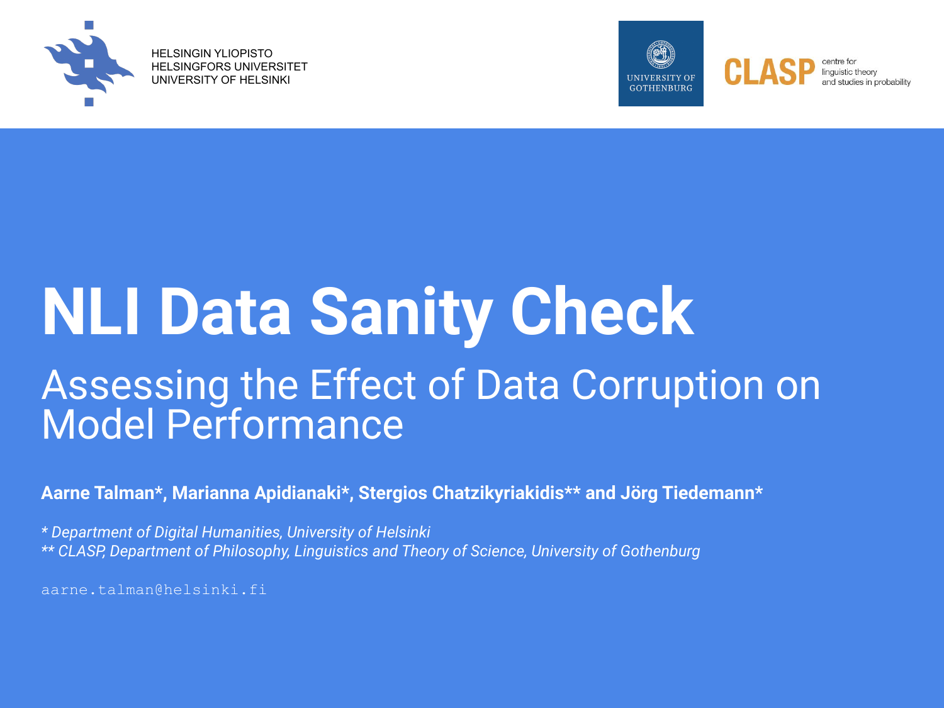

HELSINGIN YLIOPISTO HELSINGFORS UNIVERSITET UNIVERSITY OF HELSINKI



## **NLI Data Sanity Check** Assessing the Effect of Data Corruption on Model Performance

**Aarne Talman\*, Marianna Apidianaki\*, Stergios Chatzikyriakidis\*\* and Jörg Tiedemann\***

*\* Department of Digital Humanities, University of Helsinki \*\* CLASP, Department of Philosophy, Linguistics and Theory of Science, University of Gothenburg* 

aarne.talman@helsinki.fi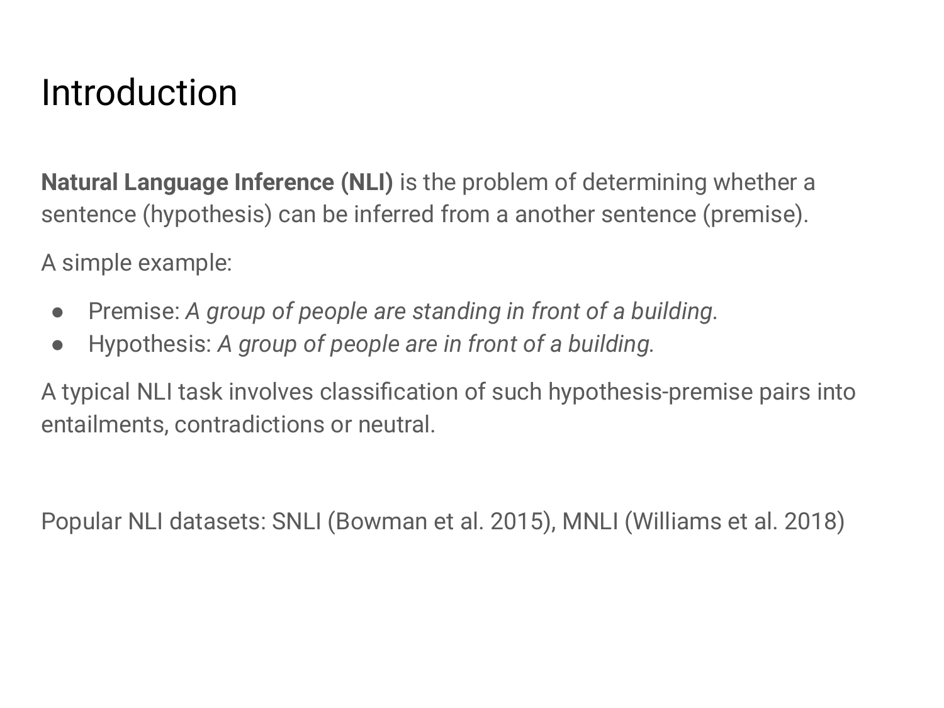### Introduction

**Natural Language Inference (NLI)** is the problem of determining whether a sentence (hypothesis) can be inferred from a another sentence (premise).

A simple example:

- Premise: *A group of people are standing in front of a building.*
- Hypothesis: *A group of people are in front of a building.*

A typical NLI task involves classification of such hypothesis-premise pairs into entailments, contradictions or neutral.

Popular NLI datasets: SNLI (Bowman et al. 2015), MNLI (Williams et al. 2018)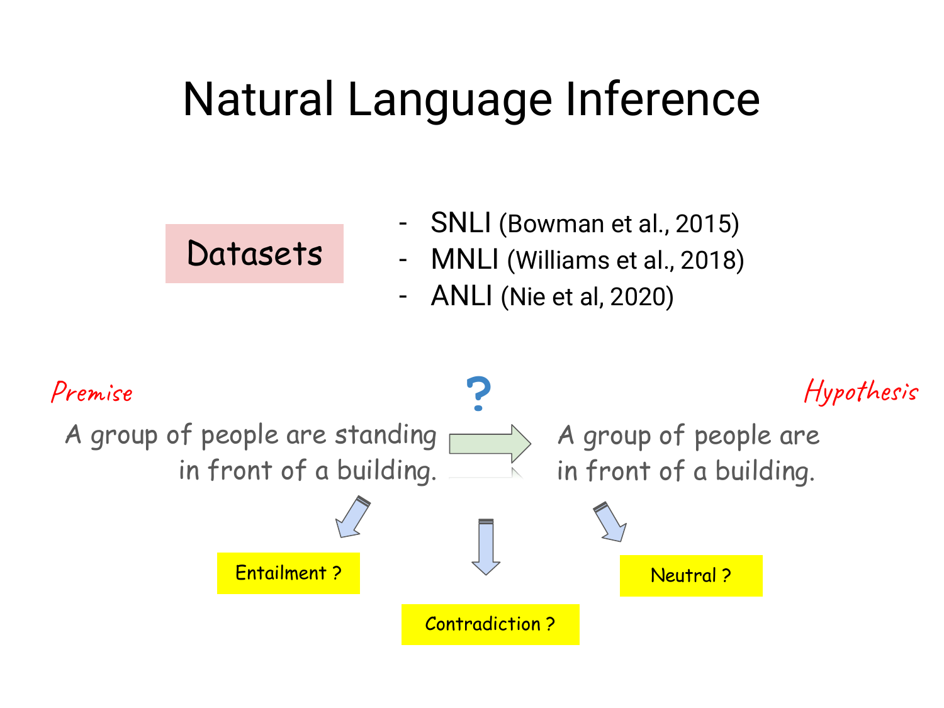## Natural Language Inference

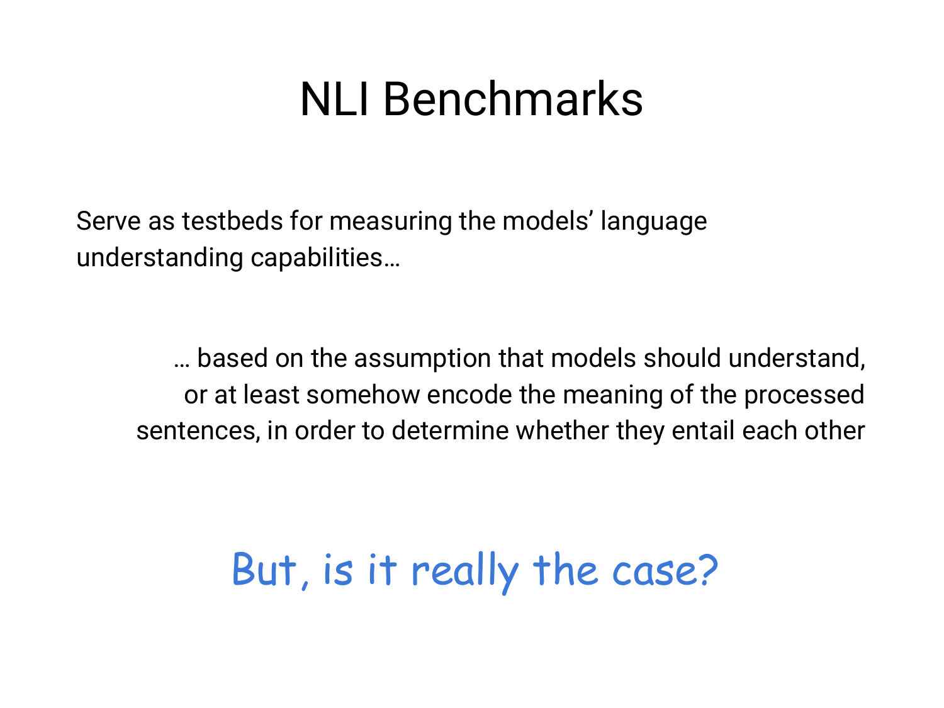### NLI Benchmarks

Serve as testbeds for measuring the models' language understanding capabilities…

… based on the assumption that models should understand, or at least somehow encode the meaning of the processed sentences, in order to determine whether they entail each other

### But, is it really the case?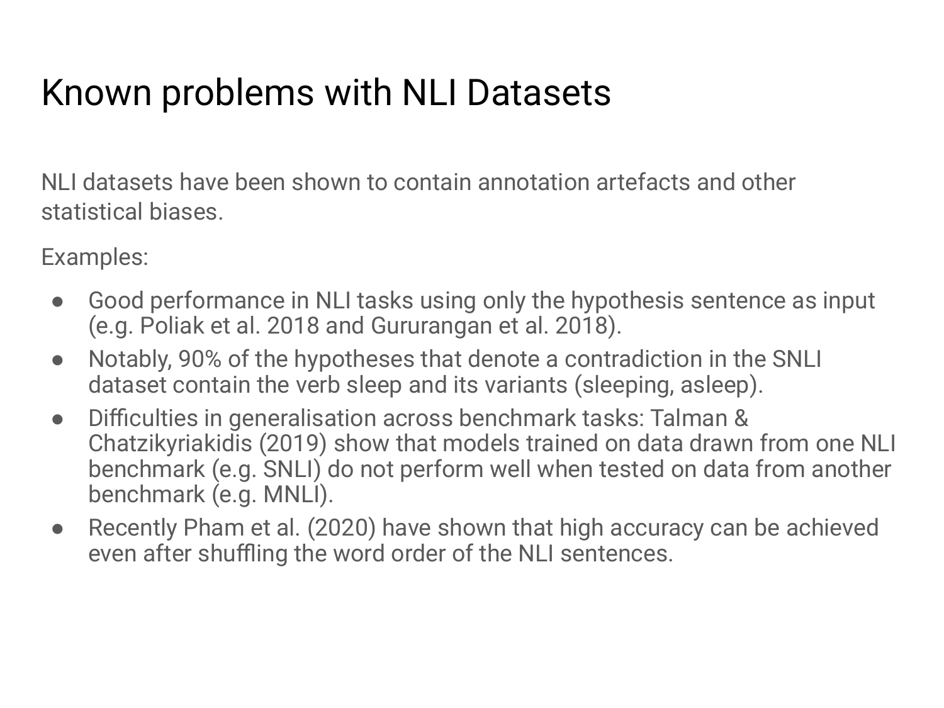### Known problems with NLI Datasets

NLI datasets have been shown to contain annotation artefacts and other statistical biases.

Examples:

- Good performance in NLI tasks using only the hypothesis sentence as input (e.g. Poliak et al. 2018 and Gururangan et al. 2018).
- Notably, 90% of the hypotheses that denote a contradiction in the SNLI dataset contain the verb sleep and its variants (sleeping, asleep).
- Difficulties in generalisation across benchmark tasks: Talman & Chatzikyriakidis (2019) show that models trained on data drawn from one NLI benchmark (e.g. SNLI) do not perform well when tested on data from another benchmark (e.g. MNLI).
- Recently Pham et al. (2020) have shown that high accuracy can be achieved even after shuffling the word order of the NLI sentences.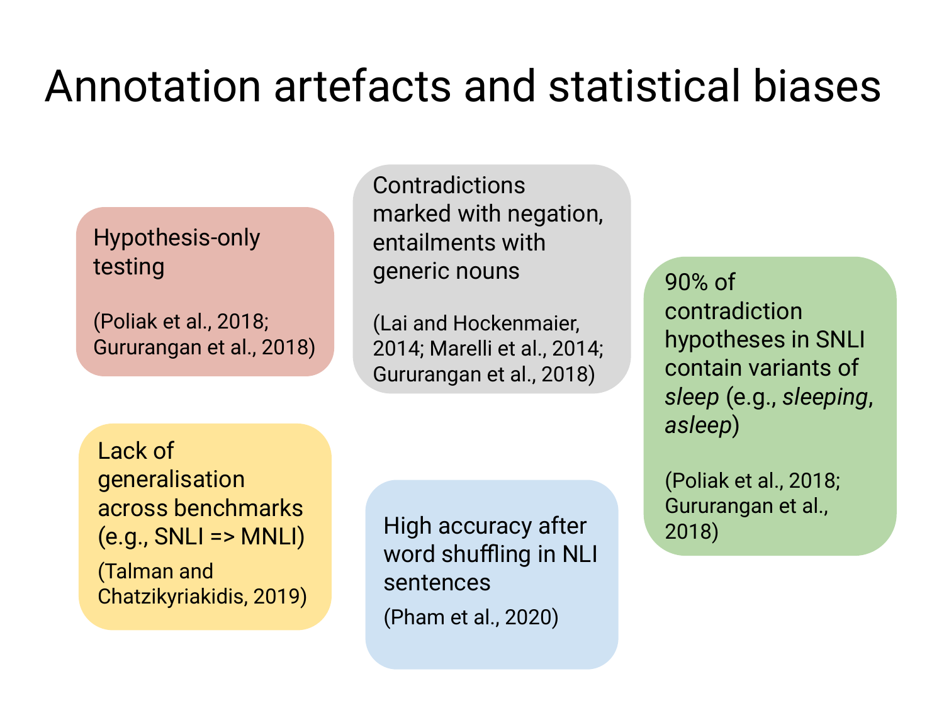## Annotation artefacts and statistical biases

#### Hypothesis-only testing

(Poliak et al., 2018; Gururangan et al., 2018)

Contradictions marked with negation, entailments with generic nouns

(Lai and Hockenmaier, 2014; Marelli et al., 2014; Gururangan et al., 2018)

Lack of generalisation across benchmarks  $(e.g., SNLI = > MNLI)$ 

(Talman and Chatzikyriakidis, 2019) High accuracy after word shuffling in NLI sentences (Pham et al., 2020)

90% of contradiction hypotheses in SNLI contain variants of *sleep* (e.g., *sleeping*, *asleep*)

(Poliak et al., 2018; Gururangan et al., 2018)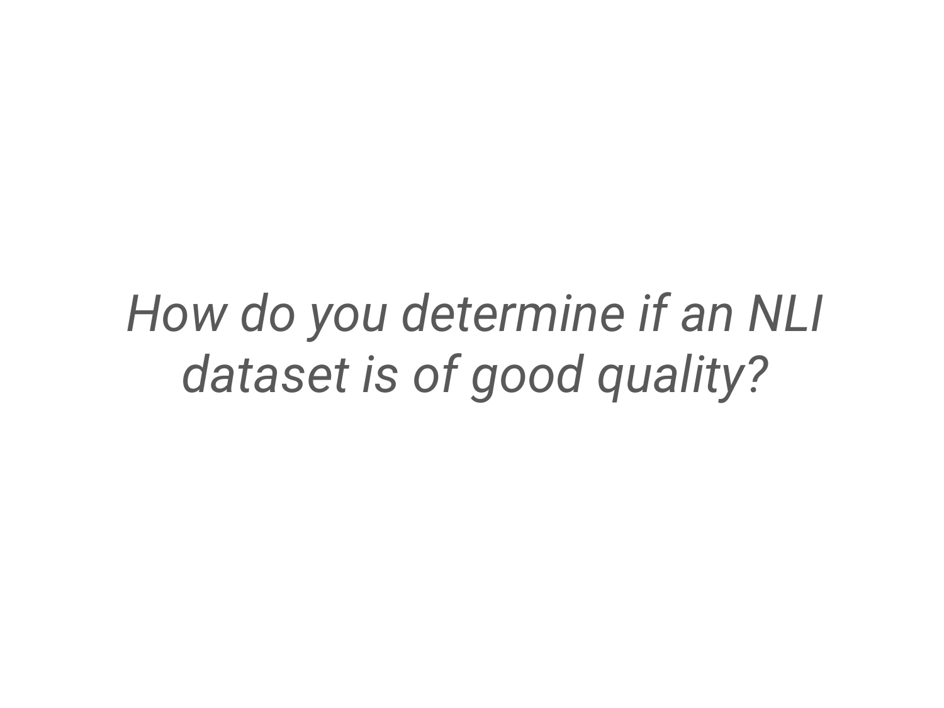## *How do you determine if an NLI dataset is of good quality?*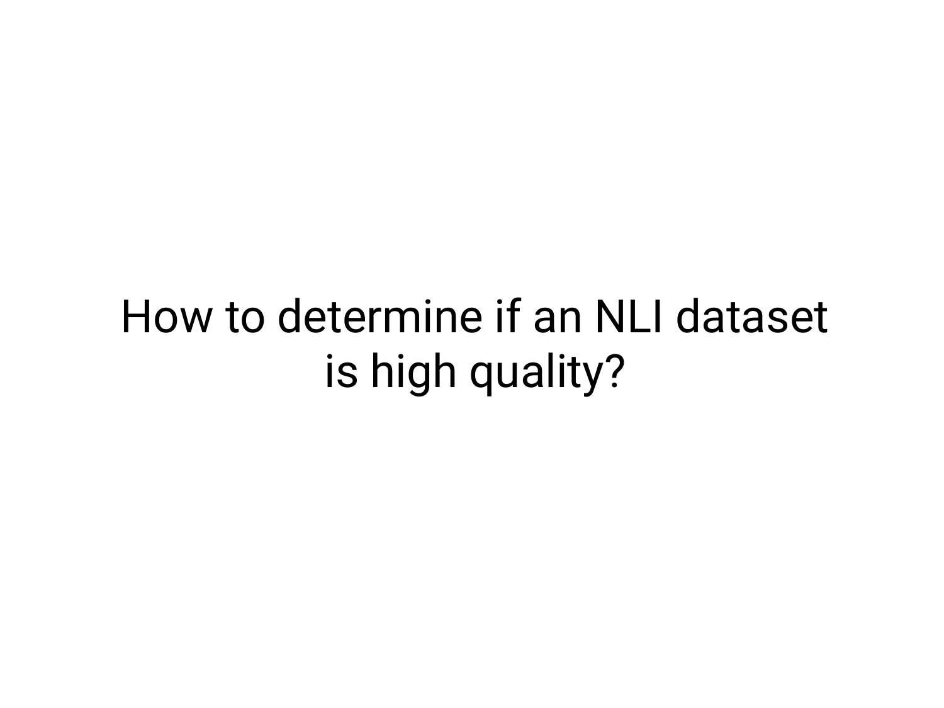## How to determine if an NLI dataset is high quality?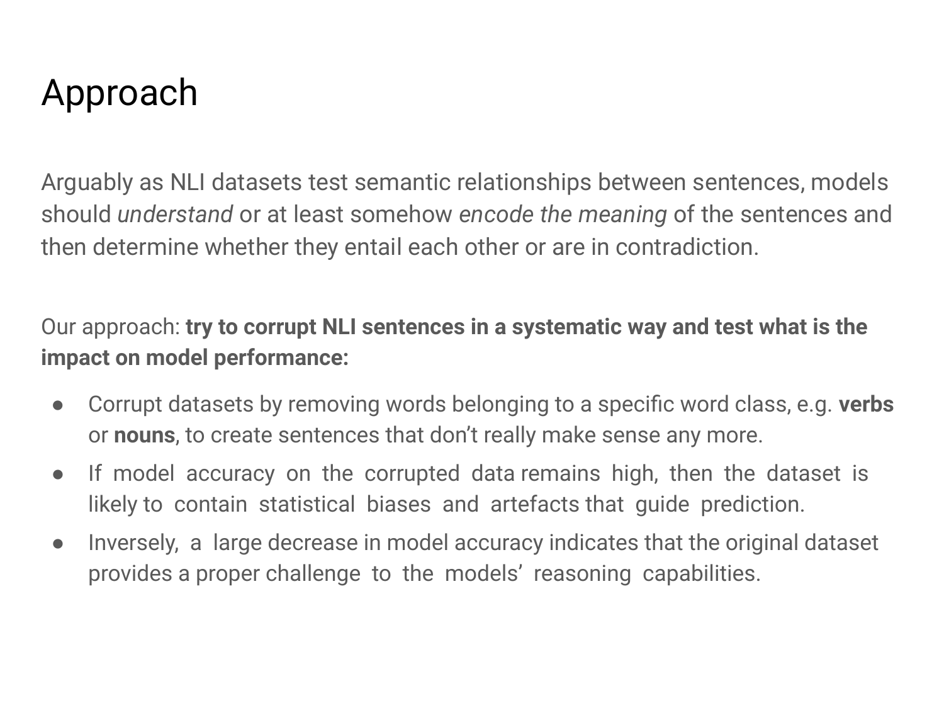### Approach

Arguably as NLI datasets test semantic relationships between sentences, models should *understand* or at least somehow *encode the meaning* of the sentences and then determine whether they entail each other or are in contradiction.

Our approach: **try to corrupt NLI sentences in a systematic way and test what is the impact on model performance:**

- **●** Corrupt datasets by removing words belonging to a specific word class, e.g. **verbs** or **nouns**, to create sentences that don't really make sense any more.
- If model accuracy on the corrupted data remains high, then the dataset is likely to contain statistical biases and artefacts that guide prediction.
- Inversely, a large decrease in model accuracy indicates that the original dataset provides a proper challenge to the models' reasoning capabilities.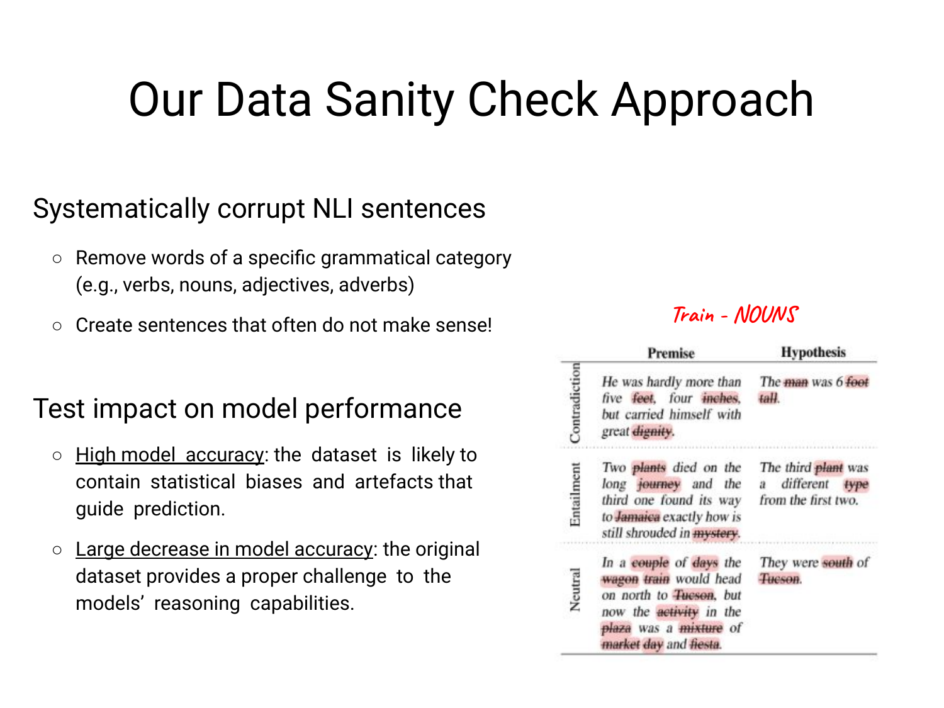## Our Data Sanity Check Approach

#### Systematically corrupt NLI sentences

- **○** Remove words of a specific grammatical category (e.g., verbs, nouns, adjectives, adverbs)
- **○** Create sentences that often do not make sense!

#### Test impact on model performance

- High model accuracy: the dataset is likely to contain statistical biases and artefacts that guide prediction.
- $\circ$  Large decrease in model accuracy: the original dataset provides a proper challenge to the models' reasoning capabilities.

#### **Train - NOUNS**

|               | <b>Premise</b>                                                                                                                                              | <b>Hypothesis</b>                                              |
|---------------|-------------------------------------------------------------------------------------------------------------------------------------------------------------|----------------------------------------------------------------|
| Contradiction | He was hardly more than<br>five feet, four inches.<br>but carried himself with<br>great dignity.                                                            | The man was 6 foot<br>taH.                                     |
| Entailment    | Two plants died on the<br>long journey and the<br>third one found its way<br>to Jamaica exactly how is<br>still shrouded in <b>mystery</b> .                | The third plant was<br>a different type<br>from the first two. |
| Neutral       | In a couple of days the<br>wagon train would head<br>on north to Tueson, but<br>now the activity in the<br>plaza was a mixture of<br>market day and fiesta. | They were south of<br>Tueson.                                  |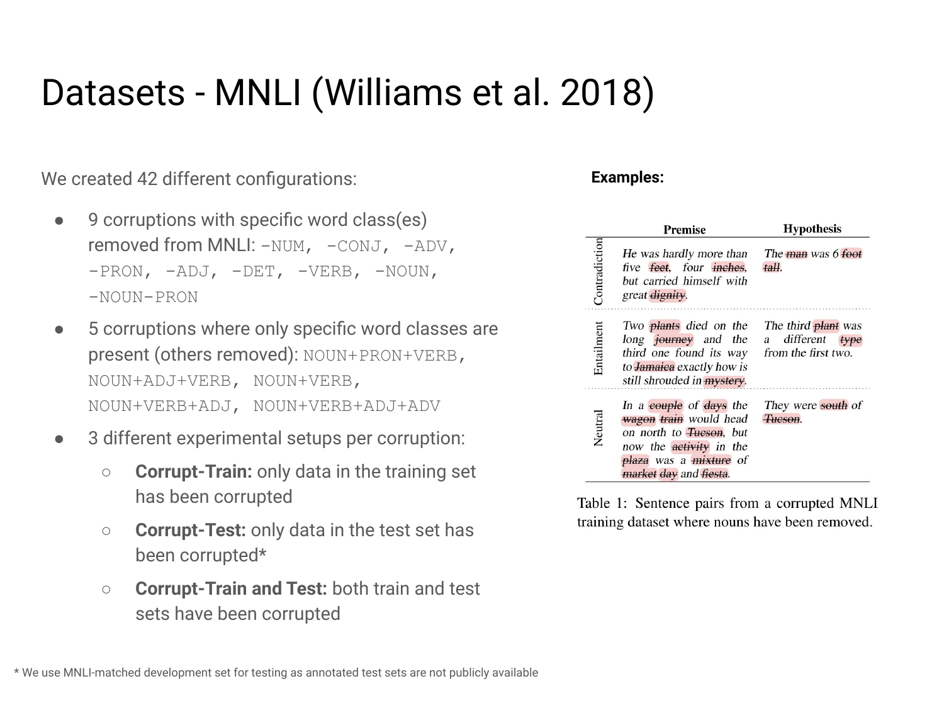### Datasets - MNLI (Williams et al. 2018)

We created 42 different configurations:

- 9 corruptions with specific word class(es) removed from MNLI:  $-NUM, -CONJ, -ADV,$ -PRON, -ADJ, -DET, -VERB, -NOUN, -NOUN-PRON
- 5 corruptions where only specific word classes are present (others removed): NOUN+PRON+VERB, NOUN+ADJ+VERB, NOUN+VERB, NOUN+VERB+ADJ, NOUN+VERB+ADJ+ADV
- 3 different experimental setups per corruption:
	- **Corrupt-Train:** only data in the training set has been corrupted
	- **Corrupt-Test:** only data in the test set has been corrupted\*
	- **Corrupt-Train and Test:** both train and test sets have been corrupted

#### **Examples:**

|               | <b>Premise</b>                                                                                                                                                                 | <b>Hypothesis</b>                       |
|---------------|--------------------------------------------------------------------------------------------------------------------------------------------------------------------------------|-----------------------------------------|
| Contradiction | He was hardly more than<br>five feet, four inches,<br>but carried himself with<br>great dignity.                                                                               | The man was 6 foot<br>tall.             |
| Entailment    | Two <b>plants</b> died on the<br>long journey and the<br>third one found its way from the first two.<br>to <b>Jamaica</b> exactly how is<br>still shrouded in <i>mystery</i> . | The third plant was<br>a different type |
| Neutral       | In a couple of days the<br>wagon train would head<br>on north to Tueson, but<br>now the activity in the<br>plaza was a mixture of<br>market day and fiesta.                    | They were south of<br>Tueson.           |

Table 1: Sentence pairs from a corrupted MNLI training dataset where nouns have been removed.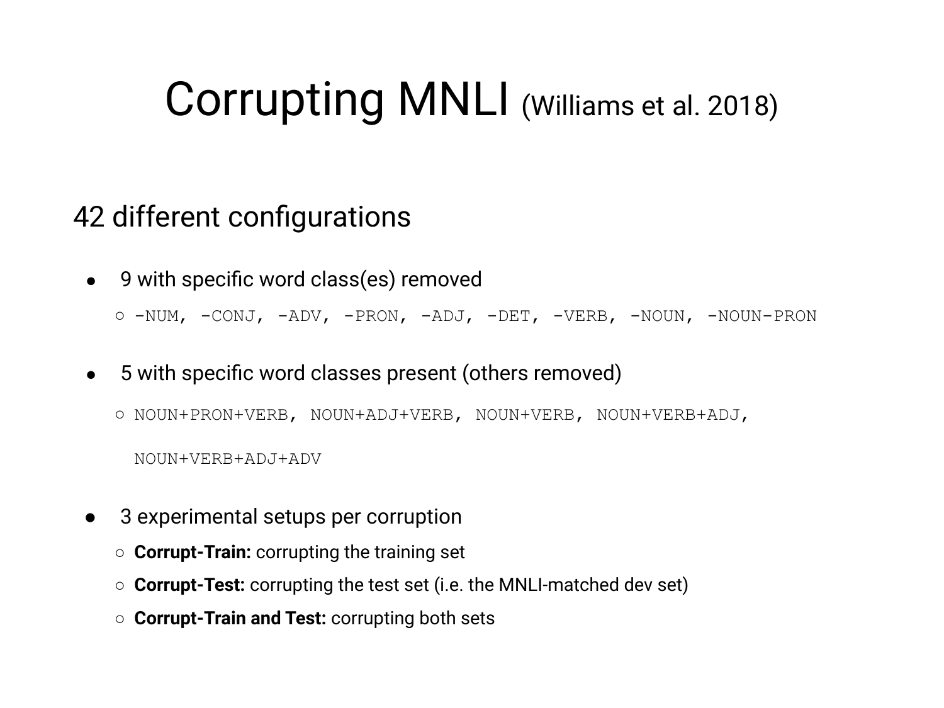### Corrupting MNLI (Williams et al. 2018)

#### 42 different configurations

9 with specific word class(es) removed

○ -NUM, -CONJ, -ADV, -PRON, -ADJ, -DET, -VERB, -NOUN, -NOUN-PRON

5 with specific word classes present (others removed)

○ NOUN+PRON+VERB, NOUN+ADJ+VERB, NOUN+VERB, NOUN+VERB+ADJ,

NOUN+VERB+ADJ+ADV

- 3 experimental setups per corruption
	- **Corrupt-Train:** corrupting the training set
	- **Corrupt-Test:** corrupting the test set (i.e. the MNLI-matched dev set)
	- **Corrupt-Train and Test:** corrupting both sets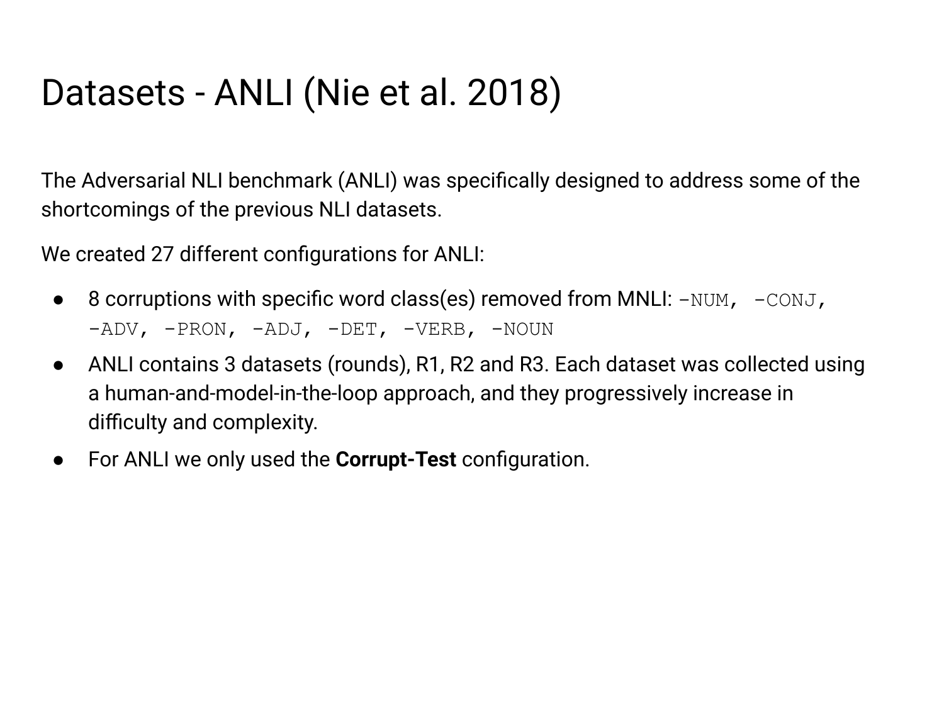### Datasets - ANLI (Nie et al. 2018)

The Adversarial NLI benchmark (ANLI) was specifically designed to address some of the shortcomings of the previous NLI datasets.

We created 27 different configurations for ANLI:

- 8 corruptions with specific word class(es) removed from MNLI:  $-NUM$ ,  $-CONJ$ , -ADV, -PRON, -ADJ, -DET, -VERB, -NOUN
- ANLI contains 3 datasets (rounds), R1, R2 and R3. Each dataset was collected using a human-and-model-in-the-loop approach, and they progressively increase in difficulty and complexity.
- For ANLI we only used the **Corrupt-Test** configuration.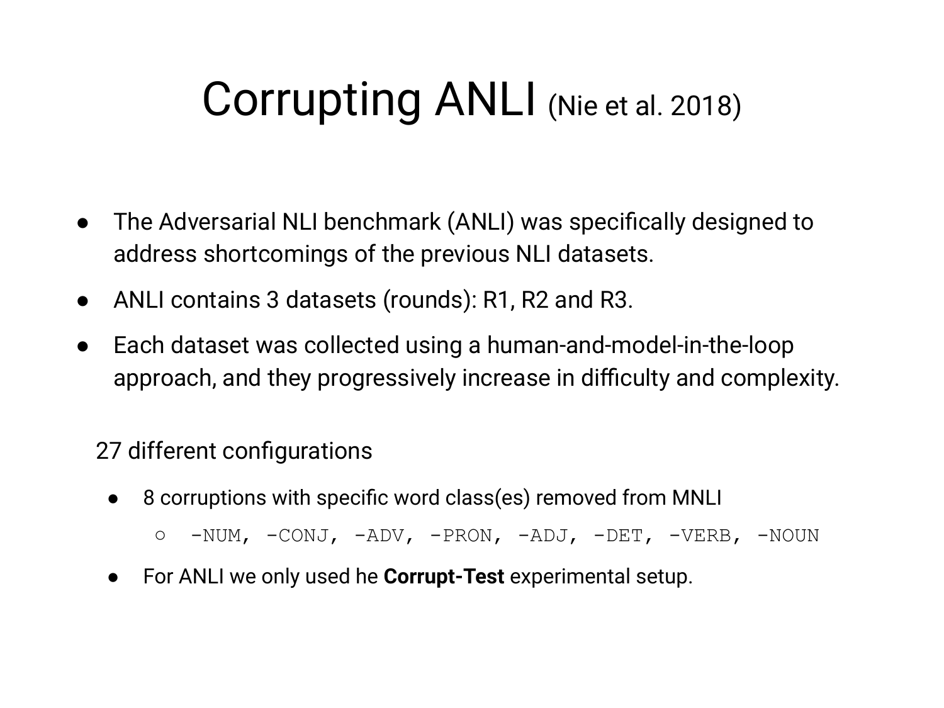## Corrupting ANLI (Nie et al. 2018)

- The Adversarial NLI benchmark (ANLI) was specifically designed to address shortcomings of the previous NLI datasets.
- ANLI contains 3 datasets (rounds): R1, R2 and R3.
- Each dataset was collected using a human-and-model-in-the-loop approach, and they progressively increase in difficulty and complexity.

#### 27 different configurations

- 8 corruptions with specific word class(es) removed from MNLI
	- -NUM, -CONJ, -ADV, -PRON, -ADJ, -DET, -VERB, -NOUN
- For ANLI we only used he **Corrupt-Test** experimental setup.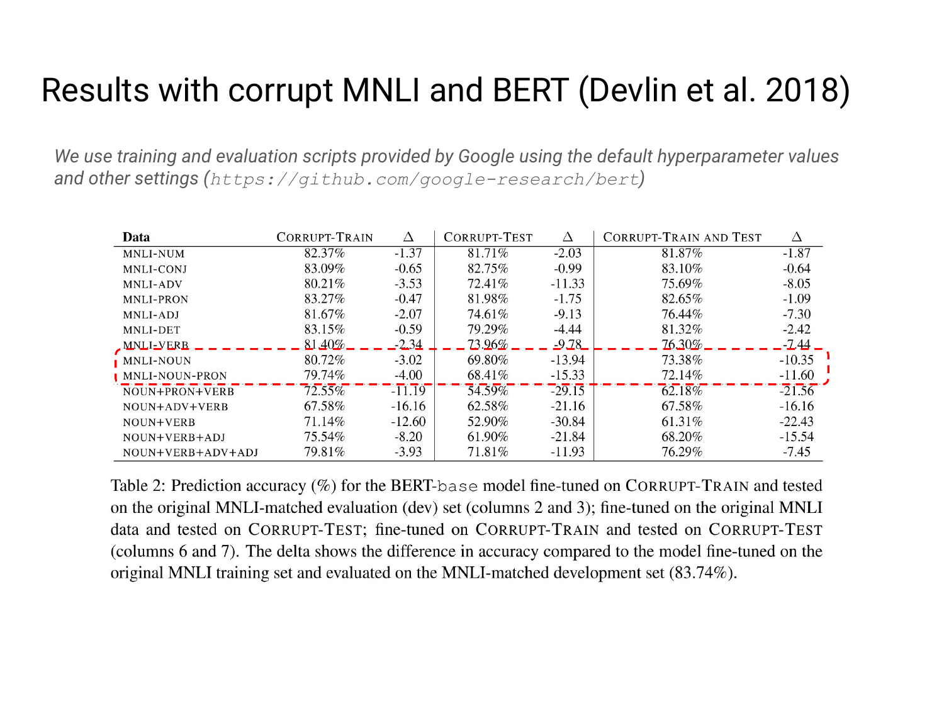### Results with corrupt MNLI and BERT (Devlin et al. 2018)

*We use training and evaluation scripts provided by Google using the default hyperparameter values and other settings (https://github.com/google-research/bert)*

| Data                  | CORRUPT-TRAIN | Δ        | CORRUPT-TEST | Δ        | <b>CORRUPT-TRAIN AND TEST</b> | Δ        |
|-----------------------|---------------|----------|--------------|----------|-------------------------------|----------|
| MNLI-NUM              | 82.37%        | $-1.37$  | 81.71%       | $-2.03$  | 81.87%                        | $-1.87$  |
| MNLI-CONJ             | 83.09%        | $-0.65$  | 82.75%       | $-0.99$  | 83.10%                        | $-0.64$  |
| <b>MNLI-ADV</b>       | 80.21%        | $-3.53$  | 72.41\%      | $-11.33$ | 75.69%                        | $-8.05$  |
| <b>MNLI-PRON</b>      | 83.27%        | $-0.47$  | 81.98%       | $-1.75$  | 82.65%                        | $-1.09$  |
| MNLI-ADJ              | 81.67%        | $-2.07$  | 74.61%       | $-9.13$  | 76.44%                        | $-7.30$  |
| MNLI-DET              | 83.15%        | $-0.59$  | 79.29%       | $-4.44$  | 81.32%                        | $-2.42$  |
| <b>MNLI-VERB</b>      | $81.40\%$     | $-2.34$  | $73.96\%$    | $-9.78$  | 76.30%                        | -2.44    |
| MNLI-NOUN             | 80.72%        | $-3.02$  | 69.80%       | $-13.94$ | 73.38%                        | $-10.35$ |
| <b>MNLI-NOUN-PRON</b> | 79.74%        | $-4.00$  | 68.41\%      | $-15.33$ | 72.14%                        | $-11.60$ |
| NOUN+PRON+VERB        | $72.55\%$     | $-11.19$ | 54.59%       | $-29.15$ | $62.18\%$                     | $-21.56$ |
| NOUN+ADV+VERB         | 67.58%        | $-16.16$ | 62.58%       | $-21.16$ | 67.58%                        | $-16.16$ |
| NOUN+VERB             | 71.14%        | $-12.60$ | 52.90%       | $-30.84$ | 61.31\%                       | $-22.43$ |
| NOUN+VERB+ADJ         | 75.54%        | $-8.20$  | 61.90%       | $-21.84$ | 68.20%                        | $-15.54$ |
| NOUN+VERB+ADV+ADJ     | 79.81%        | $-3.93$  | 71.81\%      | $-11.93$ | 76.29%                        | $-7.45$  |

Table 2: Prediction accuracy (%) for the BERT-base model fine-tuned on CORRUPT-TRAIN and tested on the original MNLI-matched evaluation (dev) set (columns 2 and 3); fine-tuned on the original MNLI data and tested on CORRUPT-TEST; fine-tuned on CORRUPT-TRAIN and tested on CORRUPT-TEST (columns 6 and 7). The delta shows the difference in accuracy compared to the model fine-tuned on the original MNLI training set and evaluated on the MNLI-matched development set (83.74%).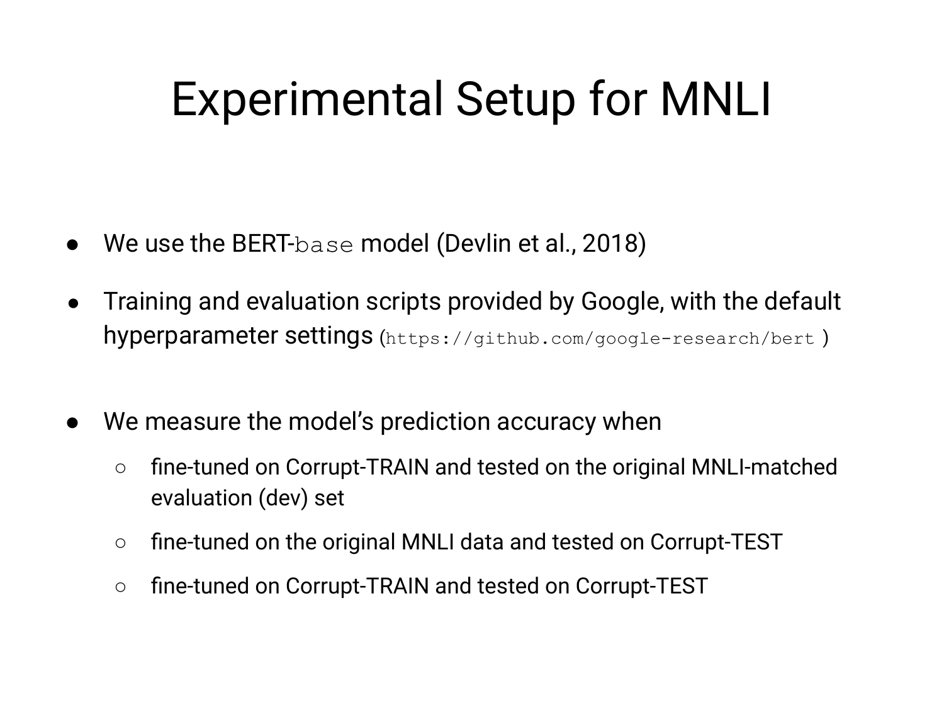## Experimental Setup for MNLI

- We use the BERT-base model (Devlin et al., 2018)
- Training and evaluation scripts provided by Google, with the default hyperparameter settings (https://github.com/google-research/bert )
- We measure the model's prediction accuracy when
	- fine-tuned on Corrupt-TRAIN and tested on the original MNLI-matched evaluation (dev) set
	- fine-tuned on the original MNLI data and tested on Corrupt-TEST
	- fine-tuned on Corrupt-TRAIN and tested on Corrupt-TEST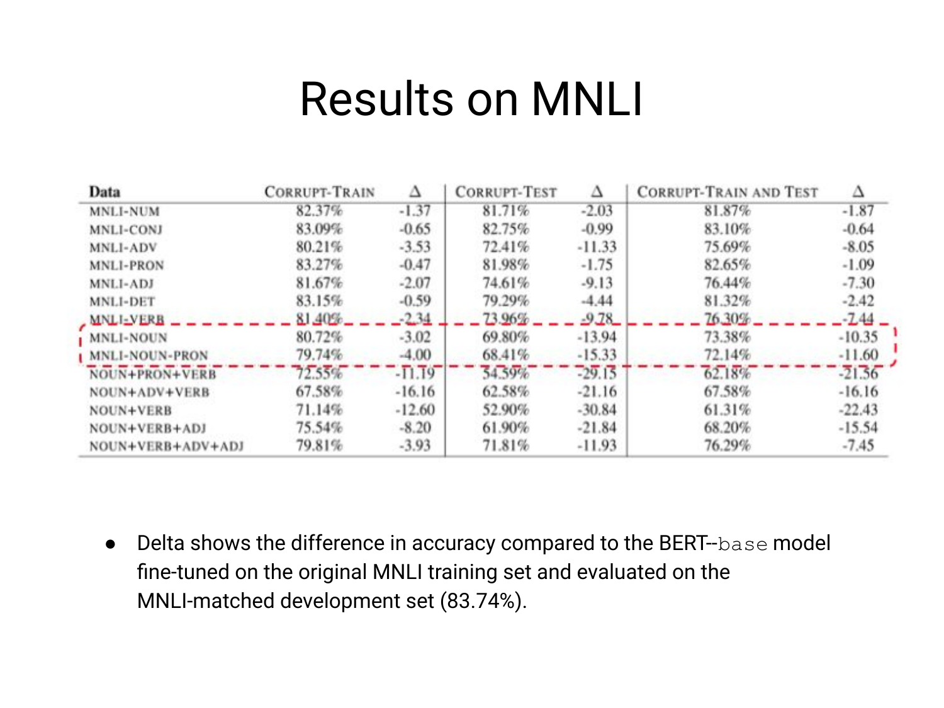### Results on MNLI

| Data                    | <b>CORRUPT-TRAIN</b> | Δ        | <b>CORRUPT-TEST</b> |          | <b>CORRUPT-TRAIN AND TEST</b> |          |
|-------------------------|----------------------|----------|---------------------|----------|-------------------------------|----------|
| <b>MNLI-NUM</b>         | 82.37%               | $-1.37$  | 81.71%              | $-2.03$  | 81.87%                        | $-1.87$  |
| MNLI-CONJ               | 83.09%               | $-0.65$  | 82.75%              | $-0.99$  | 83.10%                        | $-0.64$  |
| MNLI-ADV                | 80.21%               | $-3.53$  | 72.41%              | $-11.33$ | 75.69%                        | $-8.05$  |
| <b>MNLI-PRON</b>        | 83.27%               | $-0.47$  | 81.98%              | $-1.75$  | 82.65%                        | $-1.09$  |
| MNLI-ADJ                | 81.67%               | $-2.07$  | 74.61%              | $-9.13$  | 76.44%                        | $-7.30$  |
| MNLI-DET                | 83.15%               | $-0.59$  | 79.29%              | $-4.44$  | 81.32%                        | $-2.42$  |
| MNLI-VERB               | 81,40%               | $-2.34$  | 73.96%              | $-9.78$  | 76.30%                        | $-7.44$  |
| <b>MNLI-NOUN</b>        | 80.72%               | $-3.02$  | 69.80%              | $-13.94$ | 73.38%                        | $-10.35$ |
| <b>I MNLI-NOUN-PRON</b> | 79.74%               | $-4.00$  | 68.41%              | $-15.33$ | 72.14%                        | $-11.60$ |
| NOUN+PRON+VERB          | 72.55%               | $-11.19$ | 54.59%              | $-29.15$ | 62.18%                        | $-21.56$ |
| NOUN+ADV+VERB           | 67.58%               | $-16.16$ | 62.58%              | $-21.16$ | 67.58%                        | $-16.16$ |
| NOUN+VERB               | 71.14%               | $-12.60$ | 52.90%              | $-30.84$ | 61.31%                        | $-22.43$ |
| NOUN+VERB+ADJ           | 75.54%               | $-8.20$  | 61.90%              | $-21.84$ | 68.20%                        | $-15.54$ |
| NOUN+VERB+ADV+ADJ       | 79.81%               | $-3.93$  | 71.81%              | $-11.93$ | 76.29%                        | $-7.45$  |

● Delta shows the difference in accuracy compared to the BERT--base model fine-tuned on the original MNLI training set and evaluated on the MNLI-matched development set (83.74%).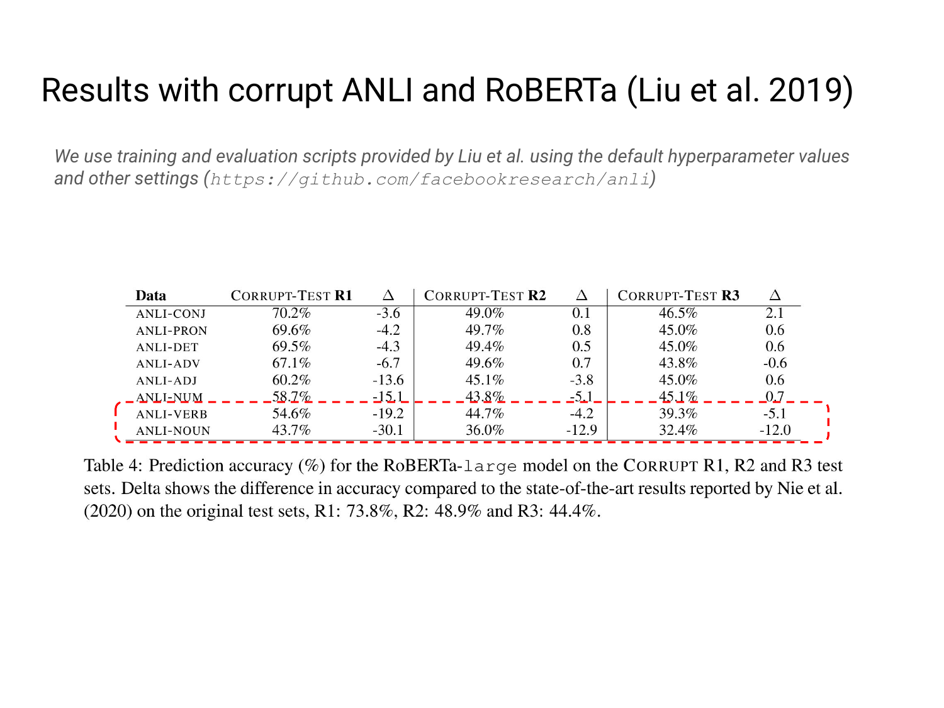### Results with corrupt ANLI and RoBERTa (Liu et al. 2019)

*We use training and evaluation scripts provided by Liu et al. using the default hyperparameter values and other settings (https://github.com/facebookresearch/anli)*

| Data                     | <b>CORRUPT-TEST R1</b> | Δ       | <b>CORRUPT-TEST R2</b> | Δ       | CORRUPT-TEST R3 |         |
|--------------------------|------------------------|---------|------------------------|---------|-----------------|---------|
| <b>ANLI-CONJ</b>         | 70.2%                  | $-3.6$  | 49.0%                  | $0.1\,$ | 46.5%           | 2.1     |
| <b>ANLI-PRON</b>         | 69.6%                  | $-4.2$  | 49.7%                  | 0.8     | 45.0%           | 0.6     |
| <b>ANLI-DET</b>          | 69.5%                  | $-4.3$  | 49.4%                  | 0.5     | 45.0%           | 0.6     |
| <b>ANLI-ADV</b>          | 67.1%                  | $-6.7$  | 49.6%                  | 0.7     | 43.8%           | $-0.6$  |
| ANLI-ADJ                 | 60.2%                  | $-13.6$ | $45.1\%$               | $-3.8$  | 45.0%           | 0.6     |
| $\sqrt{\text{ANLI-NUM}}$ | 58.7%                  | $-15.1$ | $43.8\%$               | $-5.1$  | $45.1\%$        | 0.7     |
| <b>ANLI-VERB</b>         | 54.6%                  | $-19.2$ | 44.7%                  | $-4.2$  | 39.3%           | $-5.1$  |
| <b>ANLI-NOUN</b>         | 43.7%                  | $-30.1$ | 36.0%                  | $-12.9$ | 32.4%           | $-12.0$ |

Table 4: Prediction accuracy  $(\%)$  for the RoBERTa-large model on the CORRUPT R1, R2 and R3 test sets. Delta shows the difference in accuracy compared to the state-of-the-art results reported by Nie et al.  $(2020)$  on the original test sets, R1: 73.8%, R2: 48.9% and R3: 44.4%.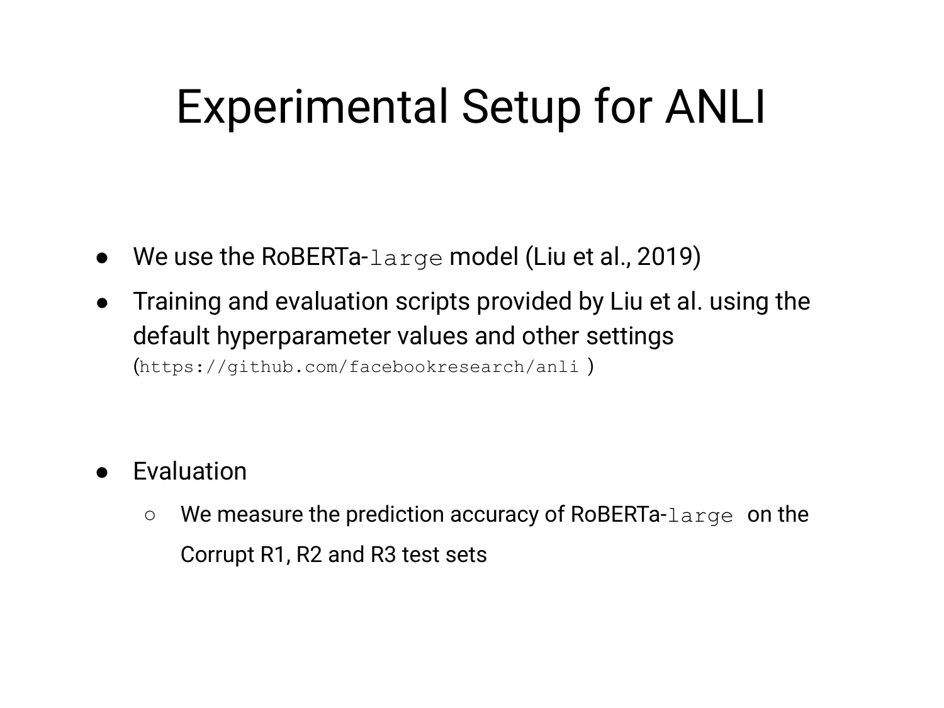## Experimental Setup for ANLI

- We use the RoBERTa-large model (Liu et al., 2019)
- Training and evaluation scripts provided by Liu et al. using the default hyperparameter values and other settings (https://github.com/facebookresearch/anli )

- **Evaluation** 
	- We measure the prediction accuracy of RoBERTa-large on the Corrupt R1, R2 and R3 test sets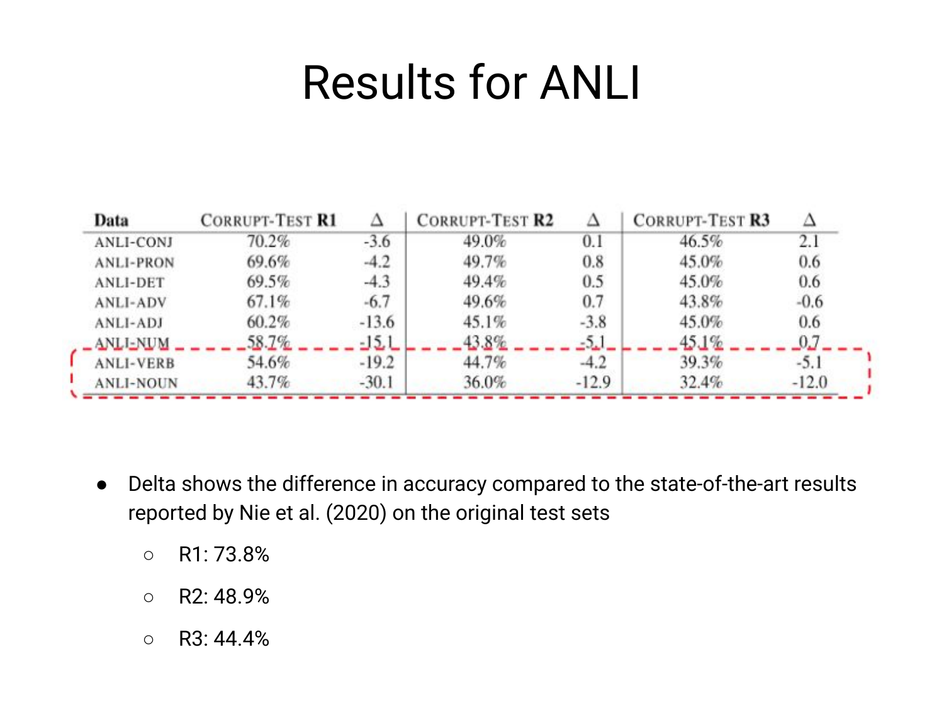## Results for ANLI

| Data             | <b>CORRUPT-TEST R1</b> |         | <b>CORRUPT-TEST R2</b> |         | <b>CORRUPT-TEST R3</b> |         |
|------------------|------------------------|---------|------------------------|---------|------------------------|---------|
| <b>ANLI-CONJ</b> | 70.2%                  | $-3.6$  | 49.0%                  | 0.1     | 46.5%                  | 2.1     |
| <b>ANLI-PRON</b> | 69.6%                  | $-4.2$  | 49.7%                  | 0.8     | 45.0%                  | 0.6     |
| <b>ANLI-DET</b>  | 69.5%                  | $-4.3$  | 49.4%                  | 0.5     | 45.0%                  | 0.6     |
| <b>ANLI-ADV</b>  | 67.1%                  | $-6.7$  | 49.6%                  | 0.7     | 43.8%                  | $-0.6$  |
| <b>ANLI-ADJ</b>  | 60.2%                  | $-13.6$ | 45.1%                  | $-3.8$  | 45.0%                  | 0.6     |
| <b>ANLI-NUM</b>  | 58.7%                  |         |                        |         |                        |         |
| <b>ANLI-VERB</b> | 54.6%                  | $-19.2$ | 44.7%                  | $-4.2$  | 39.3%                  | $-5.1$  |
| <b>ANLI-NOUN</b> | 43.7%                  | $-30.1$ | 36.0%                  | $-12.9$ | 32.4%                  | $-12.0$ |

- Delta shows the difference in accuracy compared to the state-of-the-art results reported by Nie et al. (2020) on the original test sets
	- R1: 73.8%
	- $O$  R2: 48.9%
	- $O$  R3: 44.4%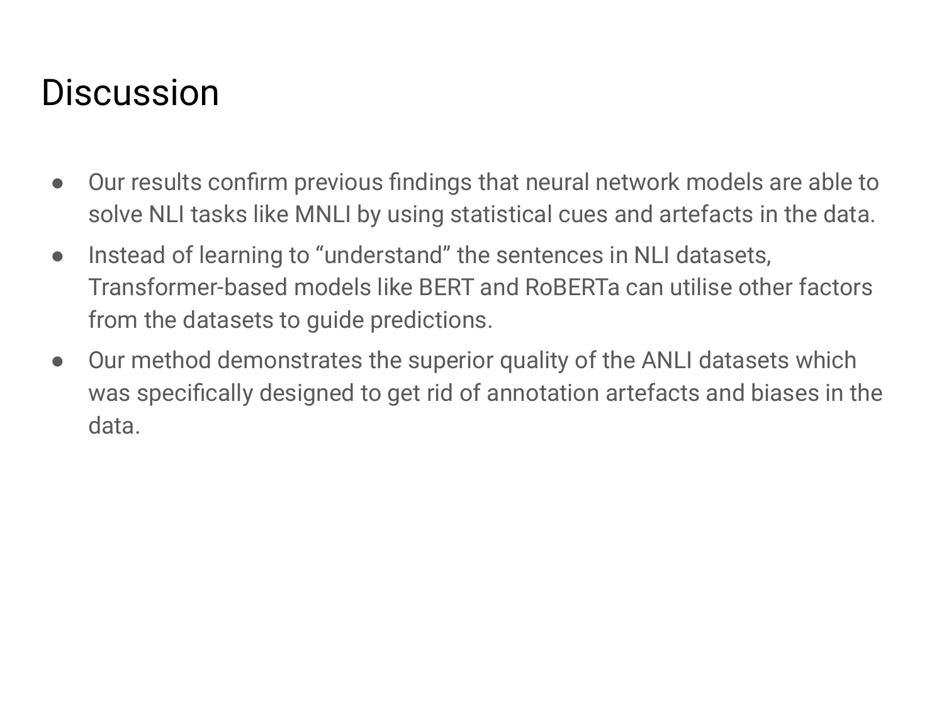### **Discussion**

- Our results confirm previous findings that neural network models are able to solve NLI tasks like MNLI by using statistical cues and artefacts in the data.
- Instead of learning to "understand" the sentences in NLI datasets, Transformer-based models like BERT and RoBERTa can utilise other factors from the datasets to guide predictions.
- Our method demonstrates the superior quality of the ANLI datasets which was specifically designed to get rid of annotation artefacts and biases in the data.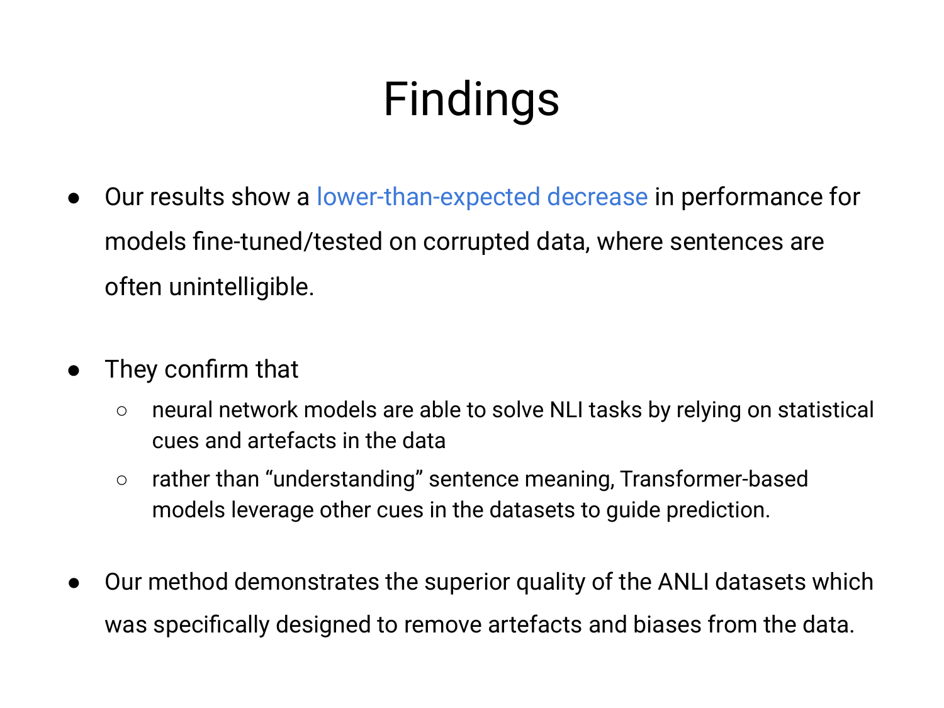## Findings

- Our results show a lower-than-expected decrease in performance for models fine-tuned/tested on corrupted data, where sentences are often unintelligible.
- They confirm that
	- neural network models are able to solve NLI tasks by relying on statistical cues and artefacts in the data
	- rather than "understanding" sentence meaning, Transformer-based models leverage other cues in the datasets to guide prediction.
- Our method demonstrates the superior quality of the ANLI datasets which was specifically designed to remove artefacts and biases from the data.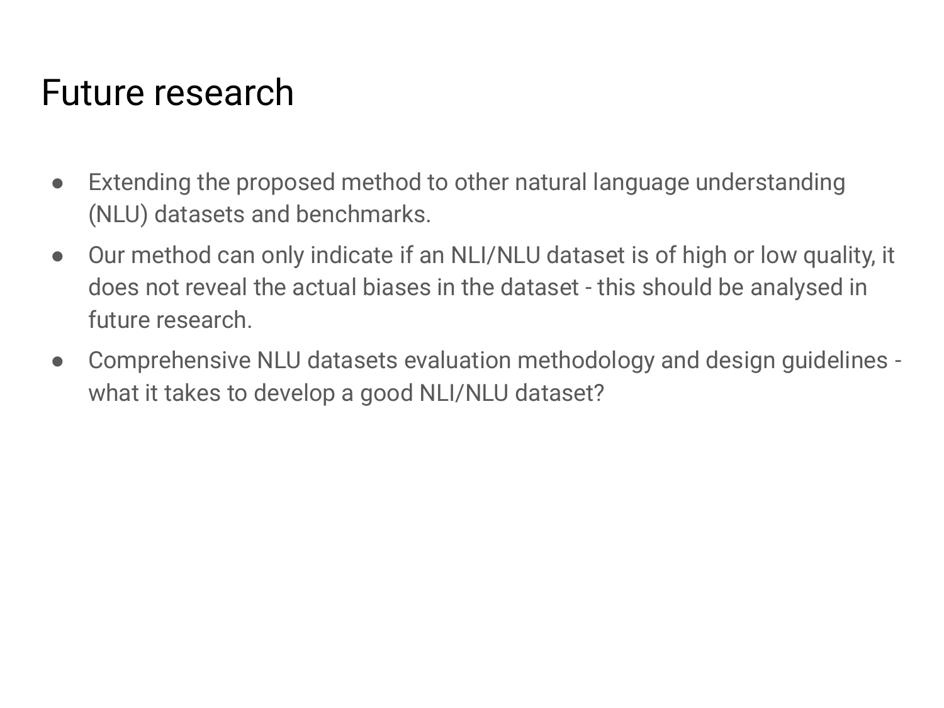### Future research

- Extending the proposed method to other natural language understanding (NLU) datasets and benchmarks.
- Our method can only indicate if an NLI/NLU dataset is of high or low quality, it does not reveal the actual biases in the dataset - this should be analysed in future research.
- Comprehensive NLU datasets evaluation methodology and design guidelines what it takes to develop a good NLI/NLU dataset?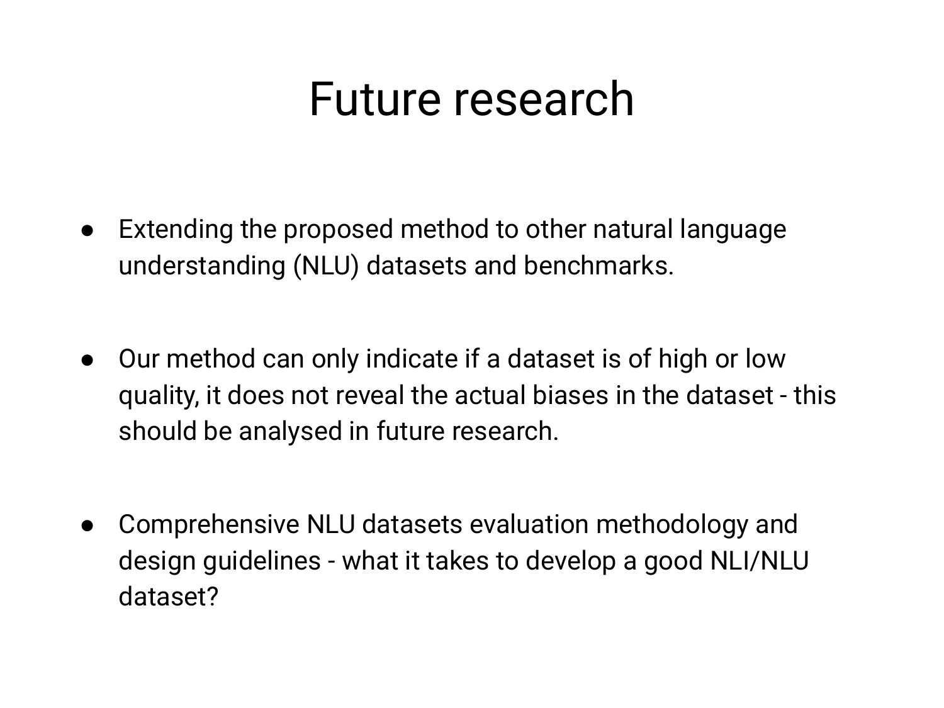### Future research

- Extending the proposed method to other natural language understanding (NLU) datasets and benchmarks.
- Our method can only indicate if a dataset is of high or low quality, it does not reveal the actual biases in the dataset - this should be analysed in future research.
- Comprehensive NLU datasets evaluation methodology and design guidelines - what it takes to develop a good NLI/NLU dataset?